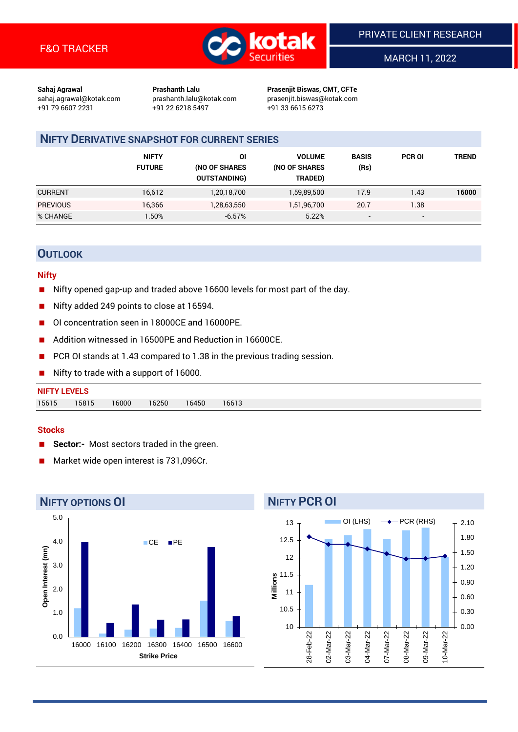

MARCH 11, 2022

**Sahaj Agrawal Prashanth Lalu Prasenjit Biswas, CMT, CFTe** +91 79 6607 2231 +91 22 6218 5497 +91 33 6615 6273

sahaj.agrawal@kotak.com [prashanth.lalu@kotak.com](mailto:prashanth.lalu@kotak.com) prasenjit.biswas@kotak.com

### **NIFTY DERIVATIVE SNAPSHOT FOR CURRENT SERIES**

|                 | <b>NIFTY</b><br><b>FUTURE</b> | ΟI<br>(NO OF SHARES<br><b>OUTSTANDING)</b> | <b>VOLUME</b><br>(NO OF SHARES<br>TRADED) | <b>BASIS</b><br>(Rs)     | <b>PCR OI</b>            | TREND |
|-----------------|-------------------------------|--------------------------------------------|-------------------------------------------|--------------------------|--------------------------|-------|
| <b>CURRENT</b>  | 16,612                        | 1,20,18,700                                | 1,59,89,500                               | 17.9                     | 1.43                     | 16000 |
| <b>PREVIOUS</b> | 16,366                        | 1,28,63,550                                | 1,51,96,700                               | 20.7                     | 1.38                     |       |
| % CHANGE        | .50%                          | $-6.57%$                                   | 5.22%                                     | $\overline{\phantom{a}}$ | $\overline{\phantom{0}}$ |       |

### **OUTLOOK**

#### **Nifty**

- Nifty opened gap-up and traded above 16600 levels for most part of the day.
- Nifty added 249 points to close at 16594.
- OI concentration seen in 18000CE and 16000PE.
- Addition witnessed in 16500PE and Reduction in 16600CE.
- PCR OI stands at 1.43 compared to 1.38 in the previous trading session.
- Nifty to trade with a support of 16000.

## **NIFTY LEVELS** 15615 15815 16000 16250 16450 16613

#### **Stocks**

- **Sector:-** Most sectors traded in the green.
- Market wide open interest is 731,096Cr.



# **NIFTY PCR OI**

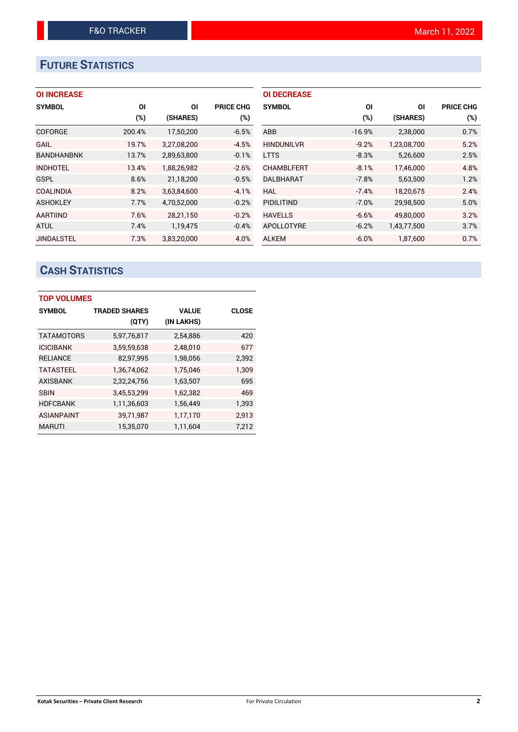# **FUTURE STATISTICS**

#### **OI INCREASE**

| <b>SYMBOL</b>     | ΟI     | ΟI          | <b>PRICE CHG</b> |
|-------------------|--------|-------------|------------------|
|                   | (%)    | (SHARES)    | (%)              |
| <b>COFORGE</b>    | 200.4% | 17,50,200   | $-6.5%$          |
| GAIL              | 19.7%  | 3,27,08,200 | $-4.5%$          |
| <b>BANDHANBNK</b> | 13.7%  | 2,89,63,800 | $-0.1%$          |
| <b>INDHOTEL</b>   | 13.4%  | 1,88,26,982 | $-2.6%$          |
| <b>GSPL</b>       | 8.6%   | 21,18,200   | $-0.5%$          |
| <b>COALINDIA</b>  | 8.2%   | 3,63,84,600 | $-4.1%$          |
| <b>ASHOKLEY</b>   | 7.7%   | 4,70,52,000 | $-0.2%$          |
| <b>AARTIIND</b>   | 7.6%   | 28,21,150   | $-0.2%$          |
| <b>ATUL</b>       | 7.4%   | 1,19,475    | $-0.4%$          |
| <b>JINDALSTEL</b> | 7.3%   | 3,83,20,000 | 4.0%             |

| <b>OI DECREASE</b> |          |             |                  |
|--------------------|----------|-------------|------------------|
| <b>SYMBOL</b>      | ΟI       | ΟI          | <b>PRICE CHG</b> |
|                    | (%)      | (SHARES)    | $(\%)$           |
| ABB                | $-16.9%$ | 2,38,000    | 0.7%             |
| <b>HINDUNILVR</b>  | $-9.2%$  | 1,23,08,700 | 5.2%             |
| <b>LTTS</b>        | $-8.3%$  | 5,26,600    | 2.5%             |
| <b>CHAMBLFERT</b>  | $-8.1%$  | 17.46.000   | 4.8%             |
| DALBHARAT          | $-7.8%$  | 5,63,500    | 1.2%             |
| HAL                | $-7.4%$  | 18,20,675   | 2.4%             |
| PIDILITIND         | $-7.0%$  | 29,98,500   | 5.0%             |
| <b>HAVELLS</b>     | $-6.6%$  | 49,80,000   | 3.2%             |
| <b>APOLLOTYRE</b>  | $-6.2%$  | 1,43,77,500 | 3.7%             |
| <b>ALKEM</b>       | $-6.0%$  | 1.87.600    | 0.7%             |

# **CASH STATISTICS**

| <b>TOP VOLUMES</b> |                      |              |              |  |  |  |  |  |
|--------------------|----------------------|--------------|--------------|--|--|--|--|--|
| <b>SYMBOL</b>      | <b>TRADED SHARES</b> | <b>VALUE</b> | <b>CLOSE</b> |  |  |  |  |  |
|                    | (QTY)                | (IN LAKHS)   |              |  |  |  |  |  |
| <b>TATAMOTORS</b>  | 5,97,76,817          | 2,54,886     | 420          |  |  |  |  |  |
| <b>ICICIBANK</b>   | 3,59,59,638          | 2,48,010     | 677          |  |  |  |  |  |
| <b>RELIANCE</b>    | 82,97,995            | 1,98,056     | 2,392        |  |  |  |  |  |
| <b>TATASTEEL</b>   | 1,36,74,062          | 1.75.046     | 1.309        |  |  |  |  |  |
| <b>AXISBANK</b>    | 2,32,24,756          | 1,63,507     | 695          |  |  |  |  |  |
| <b>SBIN</b>        | 3,45,53,299          | 1,62,382     | 469          |  |  |  |  |  |
| <b>HDFCBANK</b>    | 1,11,36,603          | 1,56,449     | 1,393        |  |  |  |  |  |
| <b>ASIANPAINT</b>  | 39,71,987            | 1,17,170     | 2,913        |  |  |  |  |  |
| <b>MARUTI</b>      | 15,35,070            | 1,11,604     | 7,212        |  |  |  |  |  |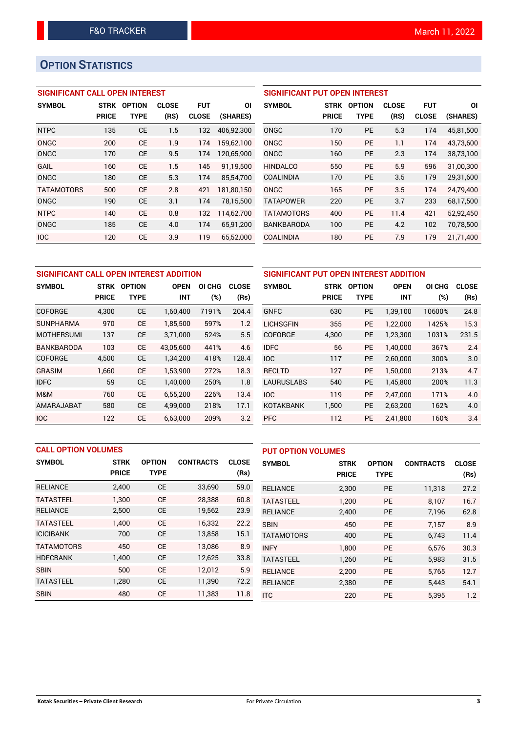# **OPTION STATISTICS**

#### **SIGNIFICANT CALL OPEN INTEREST**

| <b>SYMBOL</b>     | <b>STRK</b>  | <b>OPTION</b> | <b>CLOSE</b> | <b>FUT</b>   | ΟI         |
|-------------------|--------------|---------------|--------------|--------------|------------|
|                   | <b>PRICE</b> | TYPE          | (RS)         | <b>CLOSE</b> | (SHARES)   |
| <b>NTPC</b>       | 135          | <b>CE</b>     | 1.5          | 132          | 406,92,300 |
| ONGC              | 200          | <b>CE</b>     | 1.9          | 174          | 159,62,100 |
| ONGC              | 170          | <b>CE</b>     | 9.5          | 174          | 120,65,900 |
| GAIL              | 160          | <b>CE</b>     | 1.5          | 145          | 91,19,500  |
| ONGC              | 180          | CE            | 5.3          | 174          | 85,54,700  |
| <b>TATAMOTORS</b> | 500          | CE            | 2.8          | 421          | 181,80,150 |
| ONGC              | 190          | CE            | 3.1          | 174          | 78,15,500  |
| <b>NTPC</b>       | 140          | <b>CE</b>     | 0.8          | 132          | 114,62,700 |
| ONGC              | 185          | <b>CE</b>     | 4.0          | 174          | 65,91,200  |
| <b>IOC</b>        | 120          | <b>CE</b>     | 3.9          | 119          | 65.52.000  |

#### **SIGNIFICANT PUT OPEN INTEREST**

| <b>SYMBOL</b>     | <b>STRK</b><br><b>PRICE</b> | <b>OPTION</b><br>TYPE | <b>CLOSE</b><br>(RS) | <b>FUT</b><br><b>CLOSE</b> | ΟI<br>(SHARES) |
|-------------------|-----------------------------|-----------------------|----------------------|----------------------------|----------------|
| ONGC              | 170                         | <b>PE</b>             | 5.3                  | 174                        | 45,81,500      |
| ONGC              | 150                         | <b>PE</b>             | 1.1                  | 174                        | 43,73,600      |
| ONGC              | 160                         | <b>PE</b>             | 2.3                  | 174                        | 38,73,100      |
| <b>HINDALCO</b>   | 550                         | <b>PE</b>             | 5.9                  | 596                        | 31.00.300      |
| COALINDIA         | 170                         | <b>PE</b>             | 3.5                  | 179                        | 29,31,600      |
| ONGC              | 165                         | PF                    | 3.5                  | 174                        | 24.79.400      |
| <b>TATAPOWER</b>  | 220                         | <b>PE</b>             | 3.7                  | 233                        | 68.17.500      |
| <b>TATAMOTORS</b> | 400                         | <b>PE</b>             | 11.4                 | 421                        | 52,92,450      |
| <b>BANKBARODA</b> | 100                         | PF                    | 4.2                  | 102                        | 70.78.500      |
| <b>COALINDIA</b>  | 180                         | <b>PE</b>             | 7.9                  | 179                        | 21,71,400      |

| SIGNIFICANT CALL OPEN INTEREST ADDITION |              |                              |            |       |              |  |  |  |
|-----------------------------------------|--------------|------------------------------|------------|-------|--------------|--|--|--|
| <b>SYMBOL</b>                           | <b>STRK</b>  | <b>OPTION</b><br><b>OPEN</b> |            |       | <b>CLOSE</b> |  |  |  |
|                                         | <b>PRICE</b> | <b>TYPE</b>                  | <b>INT</b> | (%)   | (Rs)         |  |  |  |
| <b>COFORGE</b>                          | 4,300        | СE                           | 1,60,400   | 7191% | 204.4        |  |  |  |
| <b>SUNPHARMA</b>                        | 970          | CE                           | 1,85,500   | 597%  | 1.2          |  |  |  |
| <b>MOTHERSUMI</b>                       | 137          | <b>CE</b>                    | 3,71,000   | 524%  | 5.5          |  |  |  |
| <b>BANKBARODA</b>                       | 103          | CE                           | 43,05,600  | 441%  | 4.6          |  |  |  |
| COFORGE                                 | 4,500        | CE                           | 1,34,200   | 418%  | 128.4        |  |  |  |
| GRASIM                                  | 1,660        | CE                           | 1,53,900   | 272%  | 18.3         |  |  |  |
| <b>IDFC</b>                             | 59           | СE                           | 1,40,000   | 250%  | 1.8          |  |  |  |
| M&M                                     | 760          | CE                           | 6,55,200   | 226%  | 13.4         |  |  |  |
| AMARAJABAT                              | 580          | CE                           | 4,99,000   | 218%  | 17.1         |  |  |  |
| <b>IOC</b>                              | 122          | CE                           | 6.63.000   | 209%  | 3.2          |  |  |  |

| SIGNIFICANT PUT OPEN INTEREST ADDITION |              |               |             |        |              |  |  |  |
|----------------------------------------|--------------|---------------|-------------|--------|--------------|--|--|--|
| <b>SYMBOL</b>                          | <b>STRK</b>  | <b>OPTION</b> | <b>OPEN</b> | OI CHG | <b>CLOSE</b> |  |  |  |
|                                        | <b>PRICE</b> | <b>TYPE</b>   | <b>INT</b>  | (%)    | (Rs)         |  |  |  |
| <b>GNFC</b>                            | 630          | <b>PE</b>     | 1,39,100    | 10600% | 24.8         |  |  |  |
| <b>LICHSGFIN</b>                       | 355          | <b>PE</b>     | 1,22,000    | 1425%  | 15.3         |  |  |  |
| <b>COFORGE</b>                         | 4,300        | <b>PE</b>     | 1,23,300    | 1031%  | 231.5        |  |  |  |
| <b>IDFC</b>                            | 56           | <b>PE</b>     | 1,40,000    | 367%   | 2.4          |  |  |  |
| <b>IOC</b>                             | 117          | <b>PE</b>     | 2,60,000    | 300%   | 3.0          |  |  |  |
| <b>RECLTD</b>                          | 127          | <b>PE</b>     | 1,50,000    | 213%   | 4.7          |  |  |  |
| <b>LAURUSLABS</b>                      | 540          | <b>PE</b>     | 1,45,800    | 200%   | 11.3         |  |  |  |
| <b>IOC</b>                             | 119          | <b>PE</b>     | 2.47.000    | 171%   | 4.0          |  |  |  |
| <b>KOTAKBANK</b>                       | 1,500        | <b>PE</b>     | 2,63,200    | 162%   | 4.0          |  |  |  |
| <b>PFC</b>                             | 112          | <b>PE</b>     | 2,41,800    | 160%   | 3.4          |  |  |  |

| <b>CALL OPTION VOLUMES</b> |              |               |                  |              | <b>PUT OPTION VOLUMES</b> |              |               |                  |              |
|----------------------------|--------------|---------------|------------------|--------------|---------------------------|--------------|---------------|------------------|--------------|
| <b>SYMBOL</b>              | <b>STRK</b>  | <b>OPTION</b> | <b>CONTRACTS</b> | <b>CLOSE</b> | <b>SYMBOL</b>             | <b>STRK</b>  | <b>OPTION</b> | <b>CONTRACTS</b> | <b>CLOSE</b> |
|                            | <b>PRICE</b> | <b>TYPE</b>   |                  | (Rs)         |                           | <b>PRICE</b> | <b>TYPE</b>   |                  | (Rs)         |
| <b>RELIANCE</b>            | 2,400        | <b>CE</b>     | 33,690           | 59.0         | <b>RELIANCE</b>           | 2,300        | <b>PE</b>     | 11,318           | 27.2         |
| <b>TATASTEEL</b>           | 1.300        | <b>CE</b>     | 28,388           | 60.8         | <b>TATASTEEL</b>          | 1.200        | <b>PE</b>     | 8.107            | 16.7         |
| <b>RELIANCE</b>            | 2,500        | <b>CE</b>     | 19,562           | 23.9         | <b>RELIANCE</b>           | 2,400        | <b>PE</b>     | 7,196            | 62.8         |
| <b>TATASTEEL</b>           | 1.400        | <b>CE</b>     | 16,332           | 22.2         | <b>SBIN</b>               | 450          | <b>PE</b>     | 7.157            | 8.9          |
| <b>ICICIBANK</b>           | 700          | <b>CE</b>     | 13,858           | 15.1         | <b>TATAMOTORS</b>         | 400          | <b>PE</b>     | 6.743            | 11.4         |
| <b>TATAMOTORS</b>          | 450          | <b>CE</b>     | 13.086           | 8.9          | <b>INFY</b>               | 1.800        | <b>PE</b>     | 6.576            | 30.3         |
| <b>HDFCBANK</b>            | 1,400        | <b>CE</b>     | 12,625           | 33.8         | <b>TATASTEEL</b>          | 1,260        | <b>PE</b>     | 5,983            | 31.5         |
| <b>SBIN</b>                | 500          | <b>CE</b>     | 12,012           | 5.9          | <b>RELIANCE</b>           | 2,200        | <b>PE</b>     | 5.765            | 12.7         |
| <b>TATASTEEL</b>           | 1,280        | <b>CE</b>     | 11,390           | 72.2         | <b>RELIANCE</b>           | 2,380        | <b>PE</b>     | 5,443            | 54.1         |
| <b>SBIN</b>                | 480          | <b>CE</b>     | 11,383           | 11.8         | <b>ITC</b>                | 220          | PE            | 5,395            | 1.2          |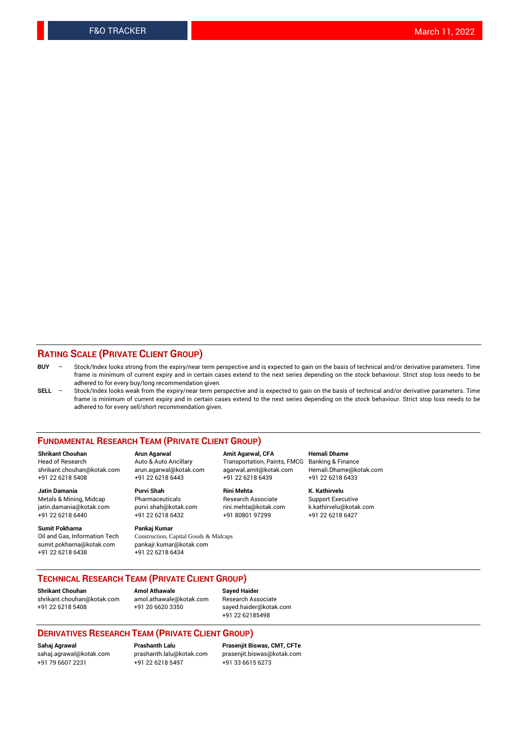#### **RATING SCALE (PRIVATE CLIENT GROUP)**

- **BUY**  Stock/Index looks strong from the expiry/near term perspective and is expected to gain on the basis of technical and/or derivative parameters. Time frame is minimum of current expiry and in certain cases extend to the next series depending on the stock behaviour. Strict stop loss needs to be adhered to for every buy/long recommendation given.
- **SELL** Stock/Index looks weak from the expiry/near term perspective and is expected to gain on the basis of technical and/or derivative parameters. Time frame is minimum of current expiry and in certain cases extend to the next series depending on the stock behaviour. Strict stop loss needs to be adhered to for every sell/short recommendation given.

#### **FUNDAMENTAL RESEARCH TEAM (PRIVATE CLIENT GROUP)**

**Shrikant Chouhan Arun Agarwal Amit Agarwal, CFA Hemali Dhame** shrikant.chouhan@kotak.com arun.agarwal@kotak.com agarwal.amit@kotak.com Hemali.Dhame@kotak.com +91 22 6218 5408 +91 22 6218 6443 +91 22 6218 6439 +91 22 6218 6433

jatin.damania@kotak.com +91 22 6218 6440 +91 22 6218 6432 +91 80801 97299 +91 22 6218 6427

**Sumit Pokharna** Pankaj Kumar<br>Oil and Gas, Information Tech Construction, C sumit.pokharna@kotak.com pankajr.kumar@kotak.com +91 22 6218 6438 +91 22 6218 6434

**Jatin Damania Purvi Shah Rini Mehta K. Kathirvelu**

Construction, Capital Goods & Midcaps

Transportation, Paints, FMCG

Metals & Mining, Midcap Pharmaceuticals Pharmaceuticals Research Associate Support Executive<br>
iatin.damania@kotak.com purvi.shah@kotak.com rini.mehta@kotak.com k.kathirvelu@kotak.com

#### **TECHNICAL RESEARCH TEAM (PRIVATE CLIENT GROUP)**

[shrikant.chouhan@kotak.com](mailto:shrikant.chouhan@kotak.com) [amol.athawale@kotak.com](mailto:amol.athawale@kotak.com) Research Associate +91 22 6218 5408 +91 20 6620 3350 [sayed.haider@kotak.com](mailto:sayed.haider@kotak.com)

**Shrikant Chouhan Amol Athawale Sayed Haider**

+91 22 62185498

#### **DERIVATIVES RESEARCH TEAM (PRIVATE CLIENT GROUP)**

+91 79 6607 2231 +91 22 6218 5497 +91 33 6615 6273

**Sahaj Agrawal Prashanth Lalu Prasenjit Biswas, CMT, CFTe** [prasenjit.biswas@kotak.com](mailto:prasenjit.biswas@kotak.com)